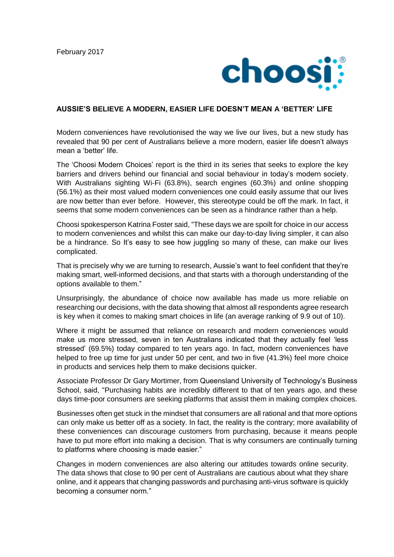

## **AUSSIE'S BELIEVE A MODERN, EASIER LIFE DOESN'T MEAN A 'BETTER' LIFE**

Modern conveniences have revolutionised the way we live our lives, but a new study has revealed that 90 per cent of Australians believe a more modern, easier life doesn't always mean a 'better' life.

The 'Choosi Modern Choices' report is the third in its series that seeks to explore the key barriers and drivers behind our financial and social behaviour in today's modern society. With Australians sighting Wi-Fi (63.8%), search engines (60.3%) and online shopping (56.1%) as their most valued modern conveniences one could easily assume that our lives are now better than ever before. However, this stereotype could be off the mark. In fact, it seems that some modern conveniences can be seen as a hindrance rather than a help.

Choosi spokesperson Katrina Foster said, "These days we are spoilt for choice in our access to modern conveniences and whilst this can make our day-to-day living simpler, it can also be a hindrance. So It's easy to see how juggling so many of these, can make our lives complicated.

That is precisely why we are turning to research, Aussie's want to feel confident that they're making smart, well-informed decisions, and that starts with a thorough understanding of the options available to them."

Unsurprisingly, the abundance of choice now available has made us more reliable on researching our decisions, with the data showing that almost all respondents agree research is key when it comes to making smart choices in life (an average ranking of 9.9 out of 10).

Where it might be assumed that reliance on research and modern conveniences would make us more stressed, seven in ten Australians indicated that they actually feel 'less stressed' (69.5%) today compared to ten years ago. In fact, modern conveniences have helped to free up time for just under 50 per cent, and two in five (41.3%) feel more choice in products and services help them to make decisions quicker.

Associate Professor Dr Gary Mortimer, from Queensland University of Technology's Business School, said, "Purchasing habits are incredibly different to that of ten years ago, and these days time-poor consumers are seeking platforms that assist them in making complex choices.

Businesses often get stuck in the mindset that consumers are all rational and that more options can only make us better off as a society. In fact, the reality is the contrary; more availability of these conveniences can discourage customers from purchasing, because it means people have to put more effort into making a decision. That is why consumers are continually turning to platforms where choosing is made easier."

Changes in modern conveniences are also altering our attitudes towards online security. The data shows that close to 90 per cent of Australians are cautious about what they share online, and it appears that changing passwords and purchasing anti-virus software is quickly becoming a consumer norm."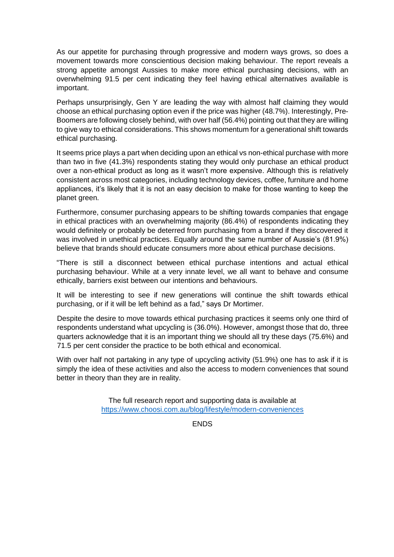As our appetite for purchasing through progressive and modern ways grows, so does a movement towards more conscientious decision making behaviour. The report reveals a strong appetite amongst Aussies to make more ethical purchasing decisions, with an overwhelming 91.5 per cent indicating they feel having ethical alternatives available is important.

Perhaps unsurprisingly, Gen Y are leading the way with almost half claiming they would choose an ethical purchasing option even if the price was higher (48.7%). Interestingly, Pre-Boomers are following closely behind, with over half (56.4%) pointing out that they are willing to give way to ethical considerations. This shows momentum for a generational shift towards ethical purchasing.

It seems price plays a part when deciding upon an ethical vs non-ethical purchase with more than two in five (41.3%) respondents stating they would only purchase an ethical product over a non-ethical product as long as it wasn't more expensive. Although this is relatively consistent across most categories, including technology devices, coffee, furniture and home appliances, it's likely that it is not an easy decision to make for those wanting to keep the planet green.

Furthermore, consumer purchasing appears to be shifting towards companies that engage in ethical practices with an overwhelming majority (86.4%) of respondents indicating they would definitely or probably be deterred from purchasing from a brand if they discovered it was involved in unethical practices. Equally around the same number of Aussie's (81.9%) believe that brands should educate consumers more about ethical purchase decisions.

"There is still a disconnect between ethical purchase intentions and actual ethical purchasing behaviour. While at a very innate level, we all want to behave and consume ethically, barriers exist between our intentions and behaviours.

It will be interesting to see if new generations will continue the shift towards ethical purchasing, or if it will be left behind as a fad," says Dr Mortimer.

Despite the desire to move towards ethical purchasing practices it seems only one third of respondents understand what upcycling is (36.0%). However, amongst those that do, three quarters acknowledge that it is an important thing we should all try these days (75.6%) and 71.5 per cent consider the practice to be both ethical and economical.

With over half not partaking in any type of upcycling activity (51.9%) one has to ask if it is simply the idea of these activities and also the access to modern conveniences that sound better in theory than they are in reality.

> The full research report and supporting data is available at <https://www.choosi.com.au/blog/lifestyle/modern-conveniences>

> > **ENDS**